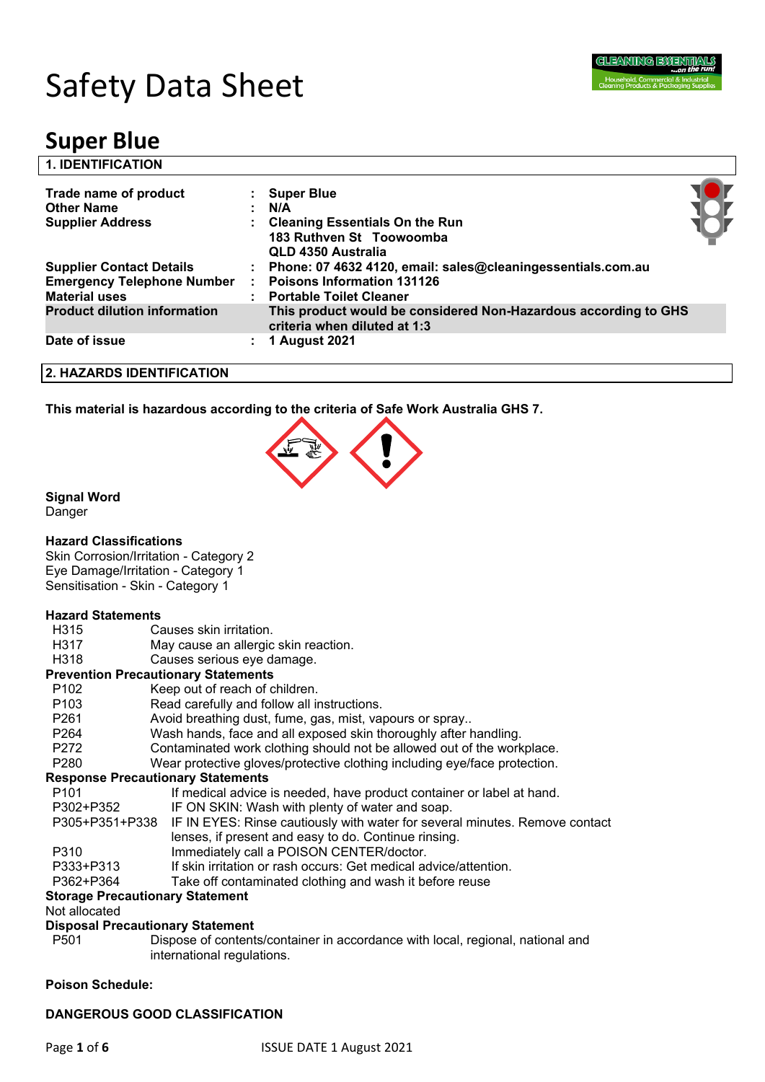

# Safety Data Sheet

# **Super Blue**

| <b>1. IDENTIFICATION</b>                                              |                                                                                                 |  |
|-----------------------------------------------------------------------|-------------------------------------------------------------------------------------------------|--|
| Trade name of product<br><b>Other Name</b><br><b>Supplier Address</b> | <b>Super Blue</b><br>N/A                                                                        |  |
|                                                                       | <b>Cleaning Essentials On the Run</b><br>183 Ruthven St Toowoomba<br>QLD 4350 Australia         |  |
| <b>Supplier Contact Details</b>                                       | : Phone: 07 4632 4120, email: sales@cleaningessentials.com.au                                   |  |
| <b>Emergency Telephone Number</b>                                     | <b>Poisons Information 131126</b>                                                               |  |
| <b>Material uses</b>                                                  | : Portable Toilet Cleaner                                                                       |  |
| <b>Product dilution information</b>                                   | This product would be considered Non-Hazardous according to GHS<br>criteria when diluted at 1:3 |  |
| Date of issue                                                         | 1 August 2021                                                                                   |  |
| 2. HAZARDS IDENTIFICATION                                             |                                                                                                 |  |

**This material is hazardous according to the criteria of Safe Work Australia GHS 7.**



#### **Signal Word**

Danger

#### **Hazard Classifications**

Skin Corrosion/Irritation - Category 2 Eye Damage/Irritation - Category 1 Sensitisation - Skin - Category 1

#### **Hazard Statements**

| <b>Hazard Statements</b>                                                      |                                                                             |  |  |  |
|-------------------------------------------------------------------------------|-----------------------------------------------------------------------------|--|--|--|
| H <sub>315</sub>                                                              | Causes skin irritation.                                                     |  |  |  |
| H317                                                                          | May cause an allergic skin reaction.                                        |  |  |  |
| H <sub>3</sub> 18                                                             | Causes serious eye damage.                                                  |  |  |  |
|                                                                               | <b>Prevention Precautionary Statements</b>                                  |  |  |  |
| P <sub>102</sub>                                                              | Keep out of reach of children.                                              |  |  |  |
| P <sub>103</sub>                                                              | Read carefully and follow all instructions.                                 |  |  |  |
| P <sub>261</sub>                                                              | Avoid breathing dust, fume, gas, mist, vapours or spray                     |  |  |  |
| P <sub>264</sub>                                                              | Wash hands, face and all exposed skin thoroughly after handling.            |  |  |  |
| P <sub>272</sub>                                                              | Contaminated work clothing should not be allowed out of the workplace.      |  |  |  |
| P <sub>280</sub>                                                              | Wear protective gloves/protective clothing including eye/face protection.   |  |  |  |
| <b>Response Precautionary Statements</b>                                      |                                                                             |  |  |  |
| P <sub>101</sub>                                                              | If medical advice is needed, have product container or label at hand.       |  |  |  |
| P302+P352                                                                     | IF ON SKIN: Wash with plenty of water and soap.                             |  |  |  |
| P305+P351+P338                                                                | IF IN EYES: Rinse cautiously with water for several minutes. Remove contact |  |  |  |
|                                                                               | lenses, if present and easy to do. Continue rinsing.                        |  |  |  |
| P310                                                                          | Immediately call a POISON CENTER/doctor.                                    |  |  |  |
| If skin irritation or rash occurs: Get medical advice/attention.<br>P333+P313 |                                                                             |  |  |  |

#### P362+P364 Take off contaminated clothing and wash it before reuse

#### **Storage Precautionary Statement**

Not allocated

#### **Disposal Precautionary Statement**

P501 Dispose of contents/container in accordance with local, regional, national and international regulations.

#### **Poison Schedule:**

#### **DANGEROUS GOOD CLASSIFICATION**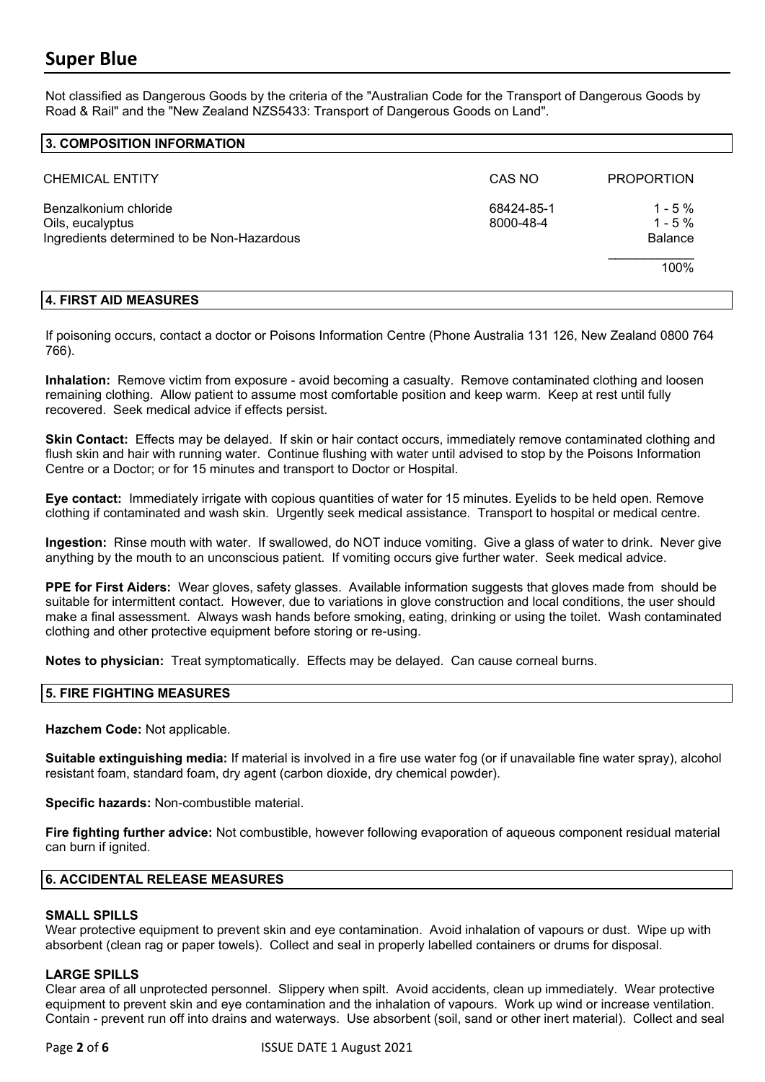Not classified as Dangerous Goods by the criteria of the "Australian Code for the Transport of Dangerous Goods by Road & Rail" and the "New Zealand NZS5433: Transport of Dangerous Goods on Land".

#### **3. COMPOSITION INFORMATION**

| <b>CHEMICAL ENTITY</b>                                                                  | CAS NO                  | <b>PROPORTION</b>                              |
|-----------------------------------------------------------------------------------------|-------------------------|------------------------------------------------|
| Benzalkonium chloride<br>Oils, eucalyptus<br>Ingredients determined to be Non-Hazardous | 68424-85-1<br>8000-48-4 | $1 - 5%$<br>$1 - 5%$<br><b>Balance</b><br>100% |

#### **4. FIRST AID MEASURES**

If poisoning occurs, contact a doctor or Poisons Information Centre (Phone Australia 131 126, New Zealand 0800 764 766).

**Inhalation:** Remove victim from exposure - avoid becoming a casualty. Remove contaminated clothing and loosen remaining clothing. Allow patient to assume most comfortable position and keep warm. Keep at rest until fully recovered. Seek medical advice if effects persist.

**Skin Contact:** Effects may be delayed. If skin or hair contact occurs, immediately remove contaminated clothing and flush skin and hair with running water. Continue flushing with water until advised to stop by the Poisons Information Centre or a Doctor; or for 15 minutes and transport to Doctor or Hospital.

**Eye contact:** Immediately irrigate with copious quantities of water for 15 minutes. Eyelids to be held open. Remove clothing if contaminated and wash skin. Urgently seek medical assistance. Transport to hospital or medical centre.

**Ingestion:** Rinse mouth with water. If swallowed, do NOT induce vomiting. Give a glass of water to drink. Never give anything by the mouth to an unconscious patient. If vomiting occurs give further water. Seek medical advice.

**PPE for First Aiders:** Wear gloves, safety glasses. Available information suggests that gloves made from should be suitable for intermittent contact. However, due to variations in glove construction and local conditions, the user should make a final assessment. Always wash hands before smoking, eating, drinking or using the toilet. Wash contaminated clothing and other protective equipment before storing or re-using.

**Notes to physician:** Treat symptomatically. Effects may be delayed. Can cause corneal burns.

#### **5. FIRE FIGHTING MEASURES**

**Hazchem Code:** Not applicable.

**Suitable extinguishing media:** If material is involved in a fire use water fog (or if unavailable fine water spray), alcohol resistant foam, standard foam, dry agent (carbon dioxide, dry chemical powder).

**Specific hazards:** Non-combustible material.

**Fire fighting further advice:** Not combustible, however following evaporation of aqueous component residual material can burn if ignited.

#### **6. ACCIDENTAL RELEASE MEASURES**

#### **SMALL SPILLS**

Wear protective equipment to prevent skin and eye contamination. Avoid inhalation of vapours or dust. Wipe up with absorbent (clean rag or paper towels). Collect and seal in properly labelled containers or drums for disposal.

#### **LARGE SPILLS**

Clear area of all unprotected personnel. Slippery when spilt. Avoid accidents, clean up immediately. Wear protective equipment to prevent skin and eye contamination and the inhalation of vapours. Work up wind or increase ventilation. Contain - prevent run off into drains and waterways. Use absorbent (soil, sand or other inert material). Collect and seal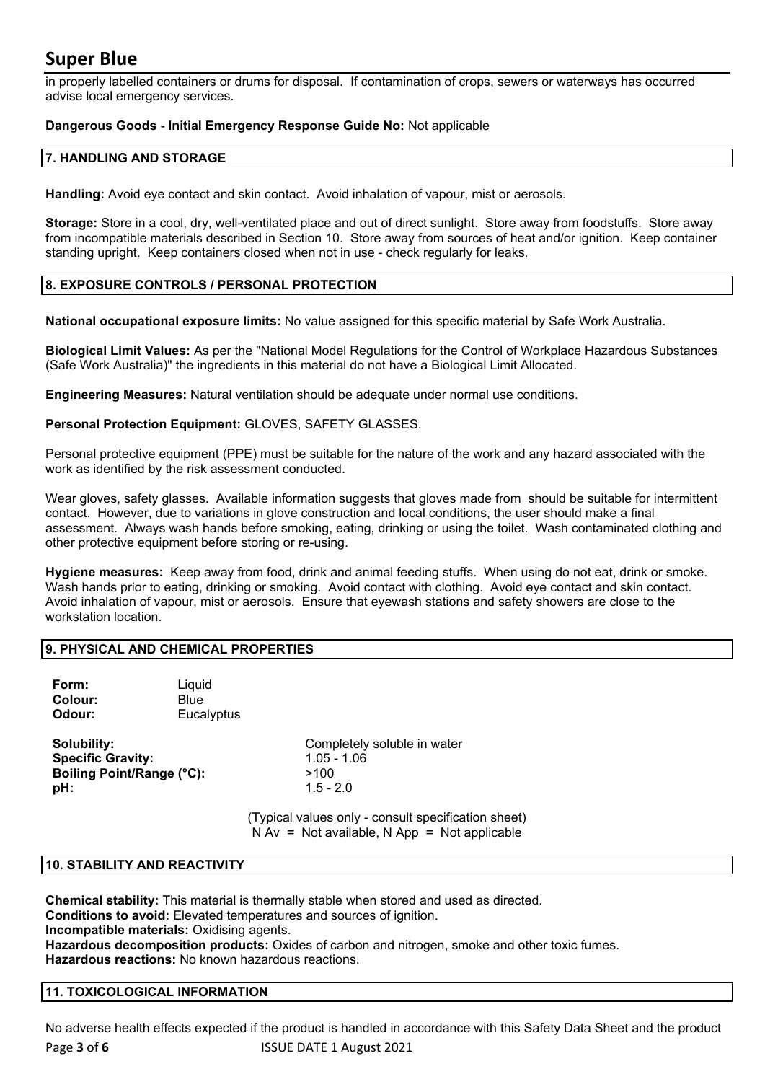in properly labelled containers or drums for disposal. If contamination of crops, sewers or waterways has occurred advise local emergency services.

#### **Dangerous Goods - Initial Emergency Response Guide No:** Not applicable

#### **7. HANDLING AND STORAGE**

**Handling:** Avoid eye contact and skin contact. Avoid inhalation of vapour, mist or aerosols.

**Storage:** Store in a cool, dry, well-ventilated place and out of direct sunlight. Store away from foodstuffs. Store away from incompatible materials described in Section 10. Store away from sources of heat and/or ignition. Keep container standing upright. Keep containers closed when not in use - check regularly for leaks.

#### **8. EXPOSURE CONTROLS / PERSONAL PROTECTION**

**National occupational exposure limits:** No value assigned for this specific material by Safe Work Australia.

**Biological Limit Values:** As per the "National Model Regulations for the Control of Workplace Hazardous Substances (Safe Work Australia)" the ingredients in this material do not have a Biological Limit Allocated.

**Engineering Measures:** Natural ventilation should be adequate under normal use conditions.

**Personal Protection Equipment:** GLOVES, SAFETY GLASSES.

Personal protective equipment (PPE) must be suitable for the nature of the work and any hazard associated with the work as identified by the risk assessment conducted.

Wear gloves, safety glasses. Available information suggests that gloves made from should be suitable for intermittent contact. However, due to variations in glove construction and local conditions, the user should make a final assessment. Always wash hands before smoking, eating, drinking or using the toilet. Wash contaminated clothing and other protective equipment before storing or re-using.

**Hygiene measures:** Keep away from food, drink and animal feeding stuffs. When using do not eat, drink or smoke. Wash hands prior to eating, drinking or smoking. Avoid contact with clothing. Avoid eye contact and skin contact. Avoid inhalation of vapour, mist or aerosols. Ensure that eyewash stations and safety showers are close to the workstation location.

#### **9. PHYSICAL AND CHEMICAL PROPERTIES**

| Form:   | Liquid     |
|---------|------------|
| Colour: | Blue       |
| Odour:  | Eucalyptus |

**Specific Gravity:** 1.05 - 1.06 **Boiling Point/Range (°C):** >100 **pH:**  $1.5 - 2.0$ 

**Solubility:** Completely soluble in water

(Typical values only - consult specification sheet)  $N Av = Not available, N App = Not applicable$ 

#### **10. STABILITY AND REACTIVITY**

**Chemical stability:** This material is thermally stable when stored and used as directed. **Conditions to avoid:** Elevated temperatures and sources of ignition. **Incompatible materials:** Oxidising agents. **Hazardous decomposition products:** Oxides of carbon and nitrogen, smoke and other toxic fumes. **Hazardous reactions:** No known hazardous reactions.

#### **11. TOXICOLOGICAL INFORMATION**

Page **3** of **6** ISSUE DATE 1 August 2021 No adverse health effects expected if the product is handled in accordance with this Safety Data Sheet and the product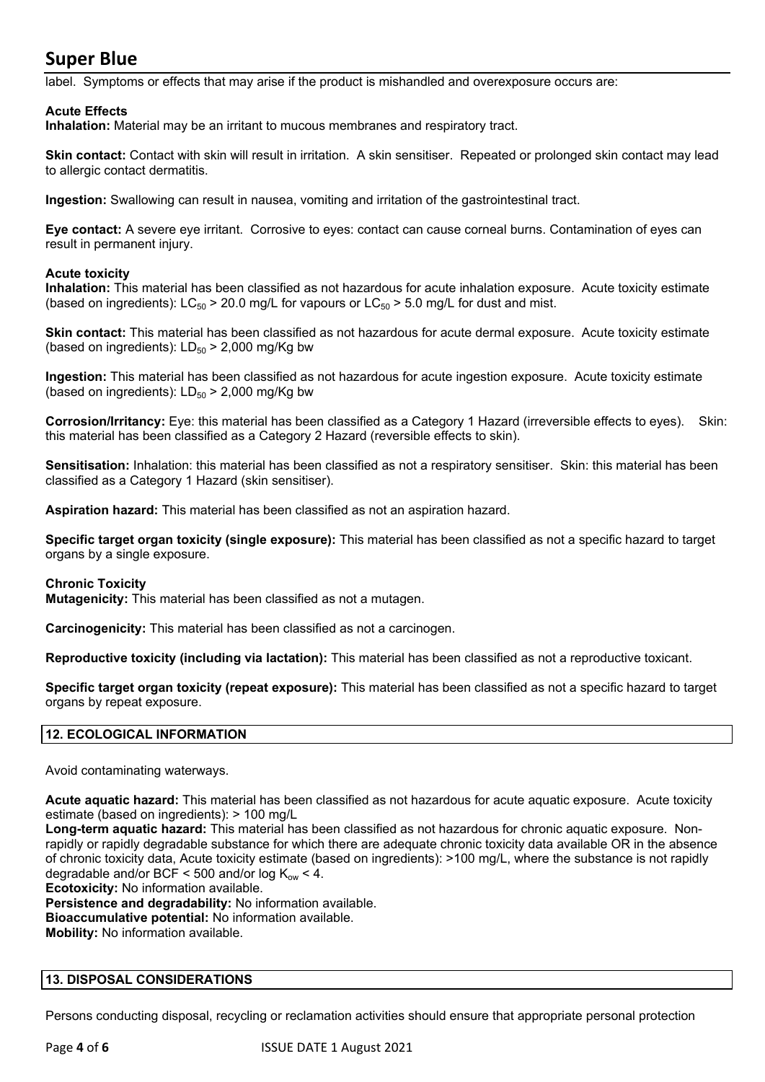label. Symptoms or effects that may arise if the product is mishandled and overexposure occurs are:

#### **Acute Effects**

**Inhalation:** Material may be an irritant to mucous membranes and respiratory tract.

**Skin contact:** Contact with skin will result in irritation. A skin sensitiser. Repeated or prolonged skin contact may lead to allergic contact dermatitis.

**Ingestion:** Swallowing can result in nausea, vomiting and irritation of the gastrointestinal tract.

**Eye contact:** A severe eye irritant. Corrosive to eyes: contact can cause corneal burns. Contamination of eyes can result in permanent injury.

#### **Acute toxicity**

**Inhalation:** This material has been classified as not hazardous for acute inhalation exposure. Acute toxicity estimate (based on ingredients):  $LC_{50} > 20.0$  mg/L for vapours or  $LC_{50} > 5.0$  mg/L for dust and mist.

**Skin contact:** This material has been classified as not hazardous for acute dermal exposure. Acute toxicity estimate (based on ingredients):  $LD_{50}$  > 2,000 mg/Kg bw

**Ingestion:** This material has been classified as not hazardous for acute ingestion exposure. Acute toxicity estimate (based on ingredients):  $LD_{50}$  > 2,000 mg/Kg bw

**Corrosion/Irritancy:** Eye: this material has been classified as a Category 1 Hazard (irreversible effects to eyes). Skin: this material has been classified as a Category 2 Hazard (reversible effects to skin).

**Sensitisation:** Inhalation: this material has been classified as not a respiratory sensitiser. Skin: this material has been classified as a Category 1 Hazard (skin sensitiser).

**Aspiration hazard:** This material has been classified as not an aspiration hazard.

**Specific target organ toxicity (single exposure):** This material has been classified as not a specific hazard to target organs by a single exposure.

#### **Chronic Toxicity**

**Mutagenicity:** This material has been classified as not a mutagen.

**Carcinogenicity:** This material has been classified as not a carcinogen.

**Reproductive toxicity (including via lactation):** This material has been classified as not a reproductive toxicant.

**Specific target organ toxicity (repeat exposure):** This material has been classified as not a specific hazard to target organs by repeat exposure.

#### **12. ECOLOGICAL INFORMATION**

Avoid contaminating waterways.

**Acute aquatic hazard:** This material has been classified as not hazardous for acute aquatic exposure. Acute toxicity estimate (based on ingredients): > 100 mg/L

**Long-term aquatic hazard:** This material has been classified as not hazardous for chronic aquatic exposure. Nonrapidly or rapidly degradable substance for which there are adequate chronic toxicity data available OR in the absence of chronic toxicity data, Acute toxicity estimate (based on ingredients): >100 mg/L, where the substance is not rapidly degradable and/or BCF < 500 and/or log  $K_{ow}$  < 4.

**Ecotoxicity:** No information available.

**Persistence and degradability:** No information available.

**Bioaccumulative potential:** No information available.

**Mobility:** No information available.

#### **13. DISPOSAL CONSIDERATIONS**

Persons conducting disposal, recycling or reclamation activities should ensure that appropriate personal protection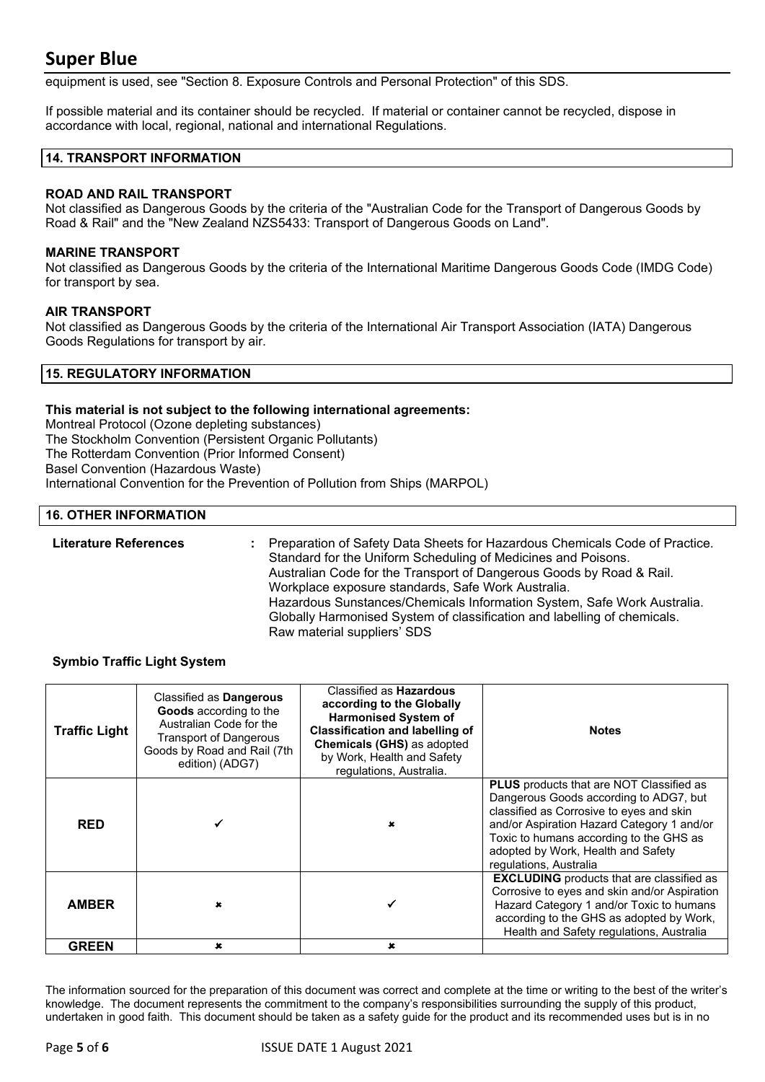equipment is used, see "Section 8. Exposure Controls and Personal Protection" of this SDS.

If possible material and its container should be recycled. If material or container cannot be recycled, dispose in accordance with local, regional, national and international Regulations.

#### **14. TRANSPORT INFORMATION**

#### **ROAD AND RAIL TRANSPORT**

Not classified as Dangerous Goods by the criteria of the "Australian Code for the Transport of Dangerous Goods by Road & Rail" and the "New Zealand NZS5433: Transport of Dangerous Goods on Land".

#### **MARINE TRANSPORT**

Not classified as Dangerous Goods by the criteria of the International Maritime Dangerous Goods Code (IMDG Code) for transport by sea.

#### **AIR TRANSPORT**

Not classified as Dangerous Goods by the criteria of the International Air Transport Association (IATA) Dangerous Goods Regulations for transport by air.

#### **15. REGULATORY INFORMATION**

#### **This material is not subject to the following international agreements:**

Montreal Protocol (Ozone depleting substances) The Stockholm Convention (Persistent Organic Pollutants) The Rotterdam Convention (Prior Informed Consent) Basel Convention (Hazardous Waste) International Convention for the Prevention of Pollution from Ships (MARPOL)

#### **16. OTHER INFORMATION**

**Literature References :** Preparation of Safety Data Sheets for Hazardous Chemicals Code of Practice. Standard for the Uniform Scheduling of Medicines and Poisons. Australian Code for the Transport of Dangerous Goods by Road & Rail. Workplace exposure standards, Safe Work Australia. Hazardous Sunstances/Chemicals Information System, Safe Work Australia. Globally Harmonised System of classification and labelling of chemicals. Raw material suppliers' SDS

#### **Symbio Traffic Light System**

| <b>Traffic Light</b> | Classified as Dangerous<br>Goods according to the<br>Australian Code for the<br><b>Transport of Dangerous</b><br>Goods by Road and Rail (7th<br>edition) (ADG7) | Classified as <b>Hazardous</b><br>according to the Globally<br><b>Harmonised System of</b><br><b>Classification and labelling of</b><br>Chemicals (GHS) as adopted<br>by Work, Health and Safety<br>regulations, Australia. | <b>Notes</b>                                                                                                                                                                                                                                                                            |
|----------------------|-----------------------------------------------------------------------------------------------------------------------------------------------------------------|-----------------------------------------------------------------------------------------------------------------------------------------------------------------------------------------------------------------------------|-----------------------------------------------------------------------------------------------------------------------------------------------------------------------------------------------------------------------------------------------------------------------------------------|
| <b>RED</b>           |                                                                                                                                                                 |                                                                                                                                                                                                                             | PLUS products that are NOT Classified as<br>Dangerous Goods according to ADG7, but<br>classified as Corrosive to eyes and skin<br>and/or Aspiration Hazard Category 1 and/or<br>Toxic to humans according to the GHS as<br>adopted by Work, Health and Safety<br>regulations, Australia |
| <b>AMBER</b>         | ×                                                                                                                                                               |                                                                                                                                                                                                                             | <b>EXCLUDING</b> products that are classified as<br>Corrosive to eyes and skin and/or Aspiration<br>Hazard Category 1 and/or Toxic to humans<br>according to the GHS as adopted by Work,<br>Health and Safety regulations, Australia                                                    |
| <b>GREEN</b>         | $\mathbf x$                                                                                                                                                     | $\mathbf x$                                                                                                                                                                                                                 |                                                                                                                                                                                                                                                                                         |

The information sourced for the preparation of this document was correct and complete at the time or writing to the best of the writer's knowledge. The document represents the commitment to the company's responsibilities surrounding the supply of this product, undertaken in good faith. This document should be taken as a safety guide for the product and its recommended uses but is in no